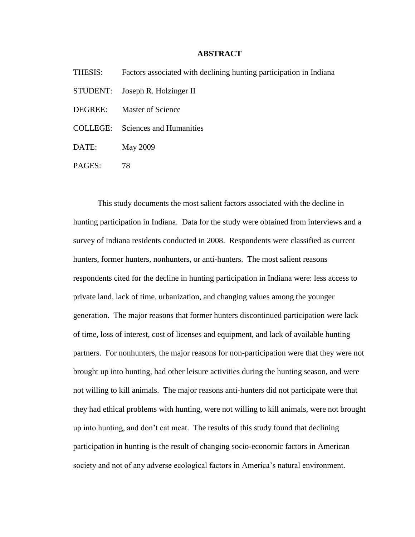## **ABSTRACT**

- THESIS: Factors associated with declining hunting participation in Indiana
- STUDENT: Joseph R. Holzinger II
- DEGREE: Master of Science
- COLLEGE: Sciences and Humanities
- DATE: May 2009
- PAGES: 78

This study documents the most salient factors associated with the decline in hunting participation in Indiana. Data for the study were obtained from interviews and a survey of Indiana residents conducted in 2008. Respondents were classified as current hunters, former hunters, nonhunters, or anti-hunters. The most salient reasons respondents cited for the decline in hunting participation in Indiana were: less access to private land, lack of time, urbanization, and changing values among the younger generation. The major reasons that former hunters discontinued participation were lack of time, loss of interest, cost of licenses and equipment, and lack of available hunting partners. For nonhunters, the major reasons for non-participation were that they were not brought up into hunting, had other leisure activities during the hunting season, and were not willing to kill animals. The major reasons anti-hunters did not participate were that they had ethical problems with hunting, were not willing to kill animals, were not brought up into hunting, and don't eat meat. The results of this study found that declining participation in hunting is the result of changing socio-economic factors in American society and not of any adverse ecological factors in America's natural environment.